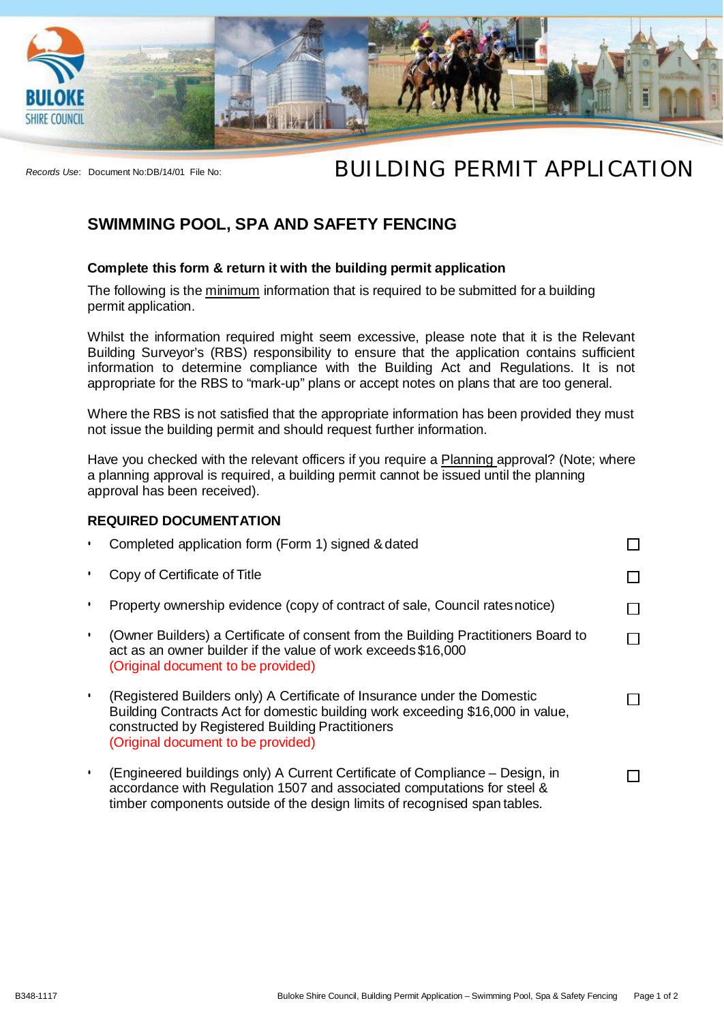

# *Records Use*: Document No:DB/14/01 File No: **BUILDING PERMIT APPLICATION**

## **SWIMMING POOL, SPA AND SAFETY FENCING**

### **Complete this form & return it with the building permit application**

The following is the minimum information that is required to be submitted for a building permit application.

Whilst the information required might seem excessive, please note that it is the Relevant Building Surveyor's (RBS) responsibility to ensure that the application contains sufficient information to determine compliance with the Building Act and Regulations. It is not appropriate for the RBS to "mark-up" plans or accept notes on plans that are too general.

Where the RBS is not satisfied that the appropriate information has been provided they must not issue the building permit and should request further information.

Have you checked with the relevant officers if you require a Planning approval? (Note; where a planning approval is required, a building permit cannot be issued until the planning approval has been received).

### **REQUIRED DOCUMENTATION**

| Completed application form (Form 1) signed & dated                                                                                                                                                                                                   |  |
|------------------------------------------------------------------------------------------------------------------------------------------------------------------------------------------------------------------------------------------------------|--|
| Copy of Certificate of Title                                                                                                                                                                                                                         |  |
| Property ownership evidence (copy of contract of sale, Council rates notice)                                                                                                                                                                         |  |
| (Owner Builders) a Certificate of consent from the Building Practitioners Board to<br>act as an owner builder if the value of work exceeds \$16,000<br>(Original document to be provided)                                                            |  |
| (Registered Builders only) A Certificate of Insurance under the Domestic<br>Building Contracts Act for domestic building work exceeding \$16,000 in value,<br>constructed by Registered Building Practitioners<br>(Original document to be provided) |  |
| (Engineered buildings only) A Current Certificate of Compliance – Design, in<br>accordance with Regulation 1507 and associated computations for steel &<br>timber components outside of the design limits of recognised span tables.                 |  |